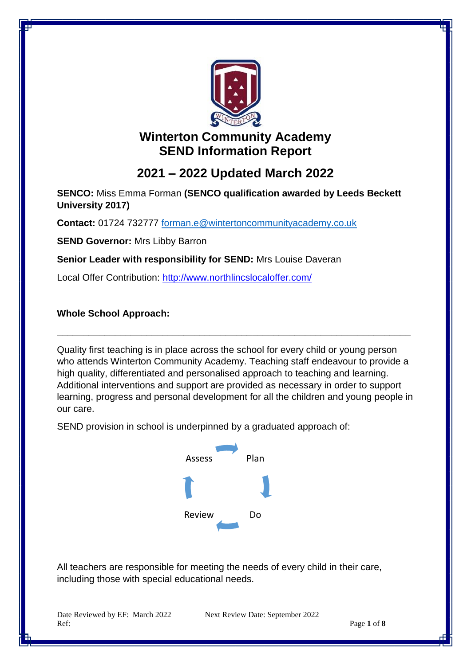

# **Winterton Community Academy SEND Information Report**

# **2021 – 2022 Updated March 2022**

**SENCO:** Miss Emma Forman **(SENCO qualification awarded by Leeds Beckett University 2017)** 

**Contact:** 01724 732777 [forman.e@wintertoncommunityacademy.co.uk](mailto:forman.e@wintertoncommunityacademy.co.uk)

**SEND Governor:** Mrs Libby Barron

**Senior Leader with responsibility for SEND:** Mrs Louise Daveran

Local Offer Contribution:<http://www.northlincslocaloffer.com/>

**Whole School Approach:**

Quality first teaching is in place across the school for every child or young person who attends Winterton Community Academy. Teaching staff endeavour to provide a high quality, differentiated and personalised approach to teaching and learning. Additional interventions and support are provided as necessary in order to support learning, progress and personal development for all the children and young people in our care.

**\_\_\_\_\_\_\_\_\_\_\_\_\_\_\_\_\_\_\_\_\_\_\_\_\_\_\_\_\_\_\_\_\_\_\_\_\_\_\_\_\_\_\_\_\_\_\_\_\_\_\_\_\_\_\_\_\_\_\_\_\_\_\_\_\_\_\_**

SEND provision in school is underpinned by a graduated approach of:



All teachers are responsible for meeting the needs of every child in their care, including those with special educational needs.

Date Reviewed by EF: March 2022 Next Review Date: September 2022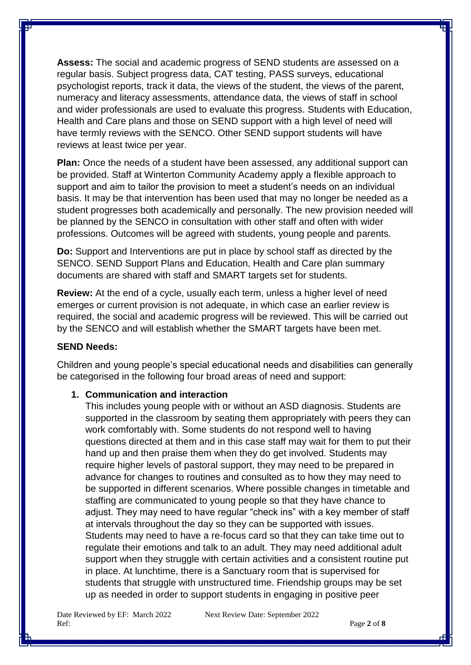**Assess:** The social and academic progress of SEND students are assessed on a regular basis. Subject progress data, CAT testing, PASS surveys, educational psychologist reports, track it data, the views of the student, the views of the parent, numeracy and literacy assessments, attendance data, the views of staff in school and wider professionals are used to evaluate this progress. Students with Education, Health and Care plans and those on SEND support with a high level of need will have termly reviews with the SENCO. Other SEND support students will have reviews at least twice per year.

**Plan:** Once the needs of a student have been assessed, any additional support can be provided. Staff at Winterton Community Academy apply a flexible approach to support and aim to tailor the provision to meet a student's needs on an individual basis. It may be that intervention has been used that may no longer be needed as a student progresses both academically and personally. The new provision needed will be planned by the SENCO in consultation with other staff and often with wider professions. Outcomes will be agreed with students, young people and parents.

**Do:** Support and Interventions are put in place by school staff as directed by the SENCO. SEND Support Plans and Education, Health and Care plan summary documents are shared with staff and SMART targets set for students.

**Review:** At the end of a cycle, usually each term, unless a higher level of need emerges or current provision is not adequate, in which case an earlier review is required, the social and academic progress will be reviewed. This will be carried out by the SENCO and will establish whether the SMART targets have been met.

## **SEND Needs:**

Children and young people's special educational needs and disabilities can generally be categorised in the following four broad areas of need and support:

# **1. Communication and interaction**

This includes young people with or without an ASD diagnosis. Students are supported in the classroom by seating them appropriately with peers they can work comfortably with. Some students do not respond well to having questions directed at them and in this case staff may wait for them to put their hand up and then praise them when they do get involved. Students may require higher levels of pastoral support, they may need to be prepared in advance for changes to routines and consulted as to how they may need to be supported in different scenarios. Where possible changes in timetable and staffing are communicated to young people so that they have chance to adjust. They may need to have regular "check ins" with a key member of staff at intervals throughout the day so they can be supported with issues. Students may need to have a re-focus card so that they can take time out to regulate their emotions and talk to an adult. They may need additional adult support when they struggle with certain activities and a consistent routine put in place. At lunchtime, there is a Sanctuary room that is supervised for students that struggle with unstructured time. Friendship groups may be set up as needed in order to support students in engaging in positive peer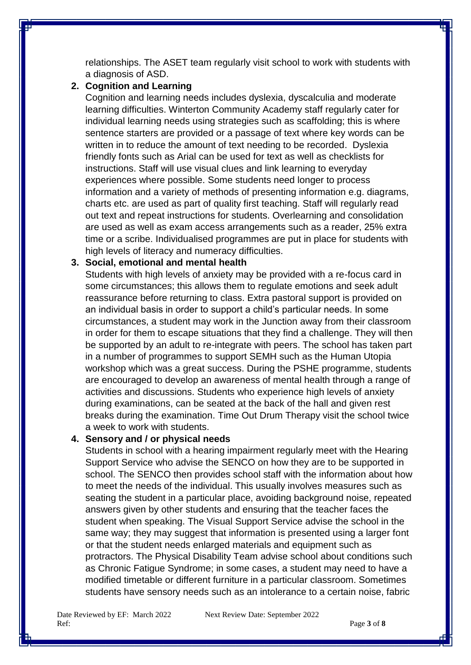relationships. The ASET team regularly visit school to work with students with a diagnosis of ASD.

## **2. Cognition and Learning**

Cognition and learning needs includes dyslexia, dyscalculia and moderate learning difficulties. Winterton Community Academy staff regularly cater for individual learning needs using strategies such as scaffolding; this is where sentence starters are provided or a passage of text where key words can be written in to reduce the amount of text needing to be recorded. Dyslexia friendly fonts such as Arial can be used for text as well as checklists for instructions. Staff will use visual clues and link learning to everyday experiences where possible. Some students need longer to process information and a variety of methods of presenting information e.g. diagrams, charts etc. are used as part of quality first teaching. Staff will regularly read out text and repeat instructions for students. Overlearning and consolidation are used as well as exam access arrangements such as a reader, 25% extra time or a scribe. Individualised programmes are put in place for students with high levels of literacy and numeracy difficulties.

#### **3. Social, emotional and mental health**

Students with high levels of anxiety may be provided with a re-focus card in some circumstances; this allows them to regulate emotions and seek adult reassurance before returning to class. Extra pastoral support is provided on an individual basis in order to support a child's particular needs. In some circumstances, a student may work in the Junction away from their classroom in order for them to escape situations that they find a challenge. They will then be supported by an adult to re-integrate with peers. The school has taken part in a number of programmes to support SEMH such as the Human Utopia workshop which was a great success. During the PSHE programme, students are encouraged to develop an awareness of mental health through a range of activities and discussions. Students who experience high levels of anxiety during examinations, can be seated at the back of the hall and given rest breaks during the examination. Time Out Drum Therapy visit the school twice a week to work with students.

# **4. Sensory and / or physical needs**

Students in school with a hearing impairment regularly meet with the Hearing Support Service who advise the SENCO on how they are to be supported in school. The SENCO then provides school staff with the information about how to meet the needs of the individual. This usually involves measures such as seating the student in a particular place, avoiding background noise, repeated answers given by other students and ensuring that the teacher faces the student when speaking. The Visual Support Service advise the school in the same way; they may suggest that information is presented using a larger font or that the student needs enlarged materials and equipment such as protractors. The Physical Disability Team advise school about conditions such as Chronic Fatigue Syndrome; in some cases, a student may need to have a modified timetable or different furniture in a particular classroom. Sometimes students have sensory needs such as an intolerance to a certain noise, fabric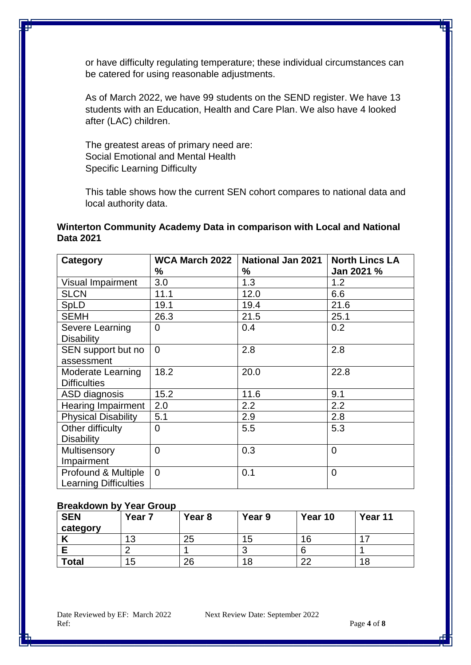or have difficulty regulating temperature; these individual circumstances can be catered for using reasonable adjustments.

As of March 2022, we have 99 students on the SEND register. We have 13 students with an Education, Health and Care Plan. We also have 4 looked after (LAC) children.

The greatest areas of primary need are: Social Emotional and Mental Health Specific Learning Difficulty

This table shows how the current SEN cohort compares to national data and local authority data.

# **Winterton Community Academy Data in comparison with Local and National Data 2021**

| Category                     | <b>WCA March 2022</b> | <b>National Jan 2021</b> | <b>North Lincs LA</b> |  |
|------------------------------|-----------------------|--------------------------|-----------------------|--|
|                              | ℅                     | ℅                        | Jan 2021 %            |  |
| Visual Impairment            | 3.0                   | 1.3                      | 1.2                   |  |
| <b>SLCN</b>                  | 11.1                  | 12.0                     | 6.6                   |  |
| SpLD                         | 19.1                  | 19.4                     | 21.6                  |  |
| <b>SEMH</b>                  | 26.3                  | 21.5                     | 25.1                  |  |
| Severe Learning              | $\Omega$              | 0.4                      | 0.2                   |  |
| <b>Disability</b>            |                       |                          |                       |  |
| SEN support but no           | $\overline{0}$        | 2.8                      | 2.8                   |  |
| assessment                   |                       |                          |                       |  |
| Moderate Learning            | 18.2                  | 20.0                     | 22.8                  |  |
| <b>Difficulties</b>          |                       |                          |                       |  |
| ASD diagnosis                | 15.2                  | 11.6                     | 9.1                   |  |
| <b>Hearing Impairment</b>    | 2.0                   | 2.2                      | 2.2                   |  |
| <b>Physical Disability</b>   | 5.1                   | 2.9                      | 2.8                   |  |
| Other difficulty             | $\overline{0}$        | 5.5                      | 5.3                   |  |
| <b>Disability</b>            |                       |                          |                       |  |
| Multisensory                 | $\overline{0}$        | 0.3                      | $\overline{0}$        |  |
| Impairment                   |                       |                          |                       |  |
| Profound & Multiple          | $\Omega$              | 0.1                      | $\overline{0}$        |  |
| <b>Learning Difficulties</b> |                       |                          |                       |  |

#### **Breakdown by Year Group**

| <b>SEN</b><br>category | Year 7 | Year <sub>8</sub> | Year 9 | Year 10 | Year 11 |
|------------------------|--------|-------------------|--------|---------|---------|
|                        |        | 25                | 15     | 16      |         |
|                        |        |                   | ີ      |         |         |
| <b>Total</b>           | 15     | 26                | 18     | ົດດ     | 18      |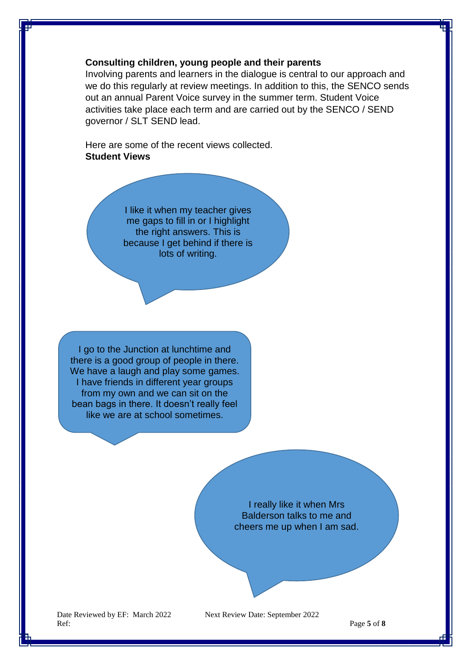## **Consulting children, young people and their parents**

Involving parents and learners in the dialogue is central to our approach and we do this regularly at review meetings. In addition to this, the SENCO sends out an annual Parent Voice survey in the summer term. Student Voice activities take place each term and are carried out by the SENCO / SEND governor / SLT SEND lead.

Here are some of the recent views collected. **Student Views**

> I like it when my teacher gives me gaps to fill in or I highlight the right answers. This is because I get behind if there is lots of writing.

I go to the Junction at lunchtime and there is a good group of people in there. We have a laugh and play some games. I have friends in different year groups from my own and we can sit on the bean bags in there. It doesn't really feel like we are at school sometimes.

> I really like it when Mrs Balderson talks to me and cheers me up when I am sad.

Date Reviewed by EF: March 2022 Next Review Date: September 2022 Ref: Page 5 of **8**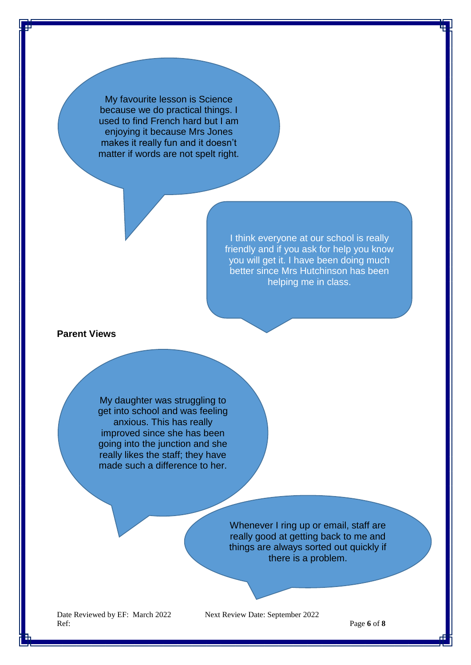My favourite lesson is Science because we do practical things. I used to find French hard but I am enjoying it because Mrs Jones makes it really fun and it doesn't matter if words are not spelt right.

> I think everyone at our school is really friendly and if you ask for help you know you will get it. I have been doing much better since Mrs Hutchinson has been helping me in class.

## **Parent Views**

My daughter was struggling to get into school and was feeling anxious. This has really improved since she has been going into the junction and she really likes the staff; they have made such a difference to her.

> Whenever I ring up or email, staff are really good at getting back to me and things are always sorted out quickly if there is a problem.

Date Reviewed by EF: March 2022 Next Review Date: September 2022 Ref: Page **6** of **8**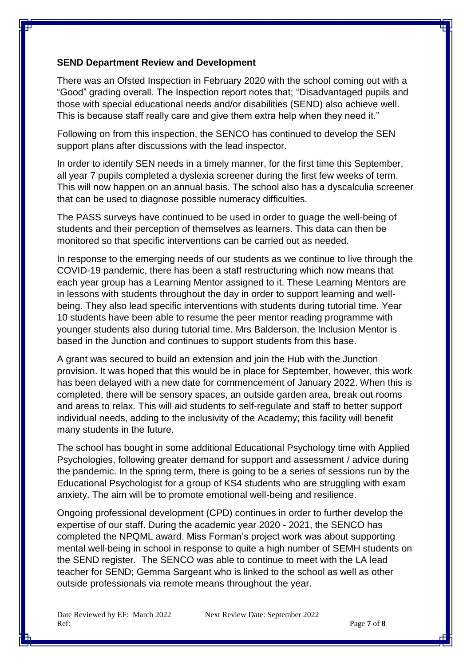## **SEND Department Review and Development**

There was an Ofsted Inspection in February 2020 with the school coming out with a "Good" grading overall. The Inspection report notes that; "Disadvantaged pupils and those with special educational needs and/or disabilities (SEND) also achieve well. This is because staff really care and give them extra help when they need it."

Following on from this inspection, the SENCO has continued to develop the SEN support plans after discussions with the lead inspector.

In order to identify SEN needs in a timely manner, for the first time this September, all year 7 pupils completed a dyslexia screener during the first few weeks of term. This will now happen on an annual basis. The school also has a dyscalculia screener that can be used to diagnose possible numeracy difficulties.

The PASS surveys have continued to be used in order to guage the well-being of students and their perception of themselves as learners. This data can then be monitored so that specific interventions can be carried out as needed.

In response to the emerging needs of our students as we continue to live through the COVID-19 pandemic, there has been a staff restructuring which now means that each year group has a Learning Mentor assigned to it. These Learning Mentors are in lessons with students throughout the day in order to support learning and wellbeing. They also lead specific interventions with students during tutorial time. Year 10 students have been able to resume the peer mentor reading programme with younger students also during tutorial time. Mrs Balderson, the Inclusion Mentor is based in the Junction and continues to support students from this base.

A grant was secured to build an extension and join the Hub with the Junction provision. It was hoped that this would be in place for September, however, this work has been delayed with a new date for commencement of January 2022. When this is completed, there will be sensory spaces, an outside garden area, break out rooms and areas to relax. This will aid students to self-regulate and staff to better support individual needs, adding to the inclusivity of the Academy; this facility will benefit many students in the future.

The school has bought in some additional Educational Psychology time with Applied Psychologies, following greater demand for support and assessment / advice during the pandemic. In the spring term, there is going to be a series of sessions run by the Educational Psychologist for a group of KS4 students who are struggling with exam anxiety. The aim will be to promote emotional well-being and resilience.

Ongoing professional development (CPD) continues in order to further develop the expertise of our staff. During the academic year 2020 - 2021, the SENCO has completed the NPQML award. Miss Forman's project work was about supporting mental well-being in school in response to quite a high number of SEMH students on the SEND register. The SENCO was able to continue to meet with the LA lead teacher for SEND; Gemma Sargeant who is linked to the school as well as other outside professionals via remote means throughout the year.